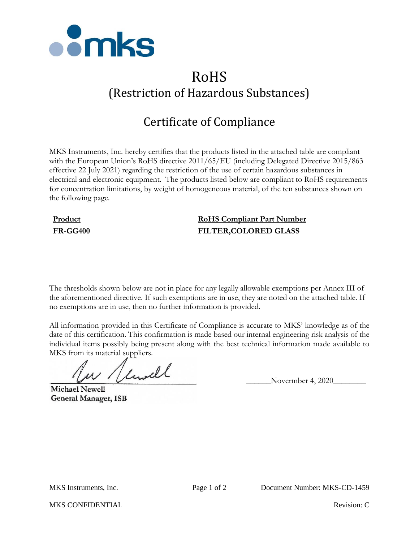

# RoHS (Restriction of Hazardous Substances)

# Certificate of Compliance

MKS Instruments, Inc. hereby certifies that the products listed in the attached table are compliant with the European Union's RoHS directive 2011/65/EU (including Delegated Directive 2015/863 effective 22 July 2021) regarding the restriction of the use of certain hazardous substances in electrical and electronic equipment. The products listed below are compliant to RoHS requirements for concentration limitations, by weight of homogeneous material, of the ten substances shown on the following page.

## **Product RoHS Compliant Part Number FR-GG400 FILTER,COLORED GLASS**

The thresholds shown below are not in place for any legally allowable exemptions per Annex III of the aforementioned directive. If such exemptions are in use, they are noted on the attached table. If no exemptions are in use, then no further information is provided.

All information provided in this Certificate of Compliance is accurate to MKS' knowledge as of the date of this certification. This confirmation is made based our internal engineering risk analysis of the individual items possibly being present along with the best technical information made available to MKS from its material suppliers.

 $\mu$  / limitle Novermber 4, 2020

**Michael Newell General Manager, ISB** 

MKS CONFIDENTIAL **Revision:** C